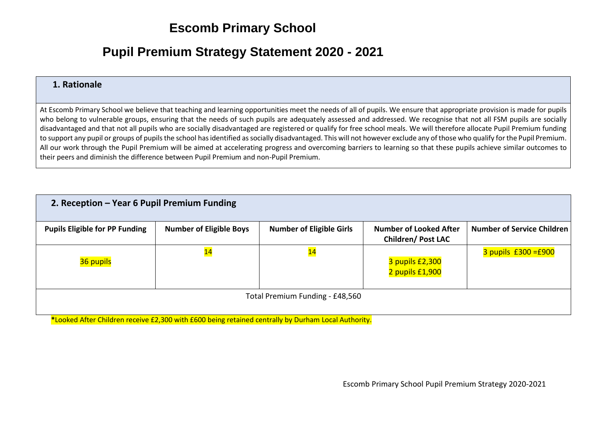## **Escomb Primary School**

## **Pupil Premium Strategy Statement 2020 - 2021**

## **1. Rationale**

At Escomb Primary School we believe that teaching and learning opportunities meet the needs of all of pupils. We ensure that appropriate provision is made for pupils who belong to vulnerable groups, ensuring that the needs of such pupils are adequately assessed and addressed. We recognise that not all FSM pupils are socially disadvantaged and that not all pupils who are socially disadvantaged are registered or qualify for free school meals. We will therefore allocate Pupil Premium funding to support any pupil or groups of pupils the school has identified as socially disadvantaged. This will not however exclude any of those who qualify for the Pupil Premium. All our work through the Pupil Premium will be aimed at accelerating progress and overcoming barriers to learning so that these pupils achieve similar outcomes to their peers and diminish the difference between Pupil Premium and non-Pupil Premium.

| 2. Reception - Year 6 Pupil Premium Funding |                                |                                 |                                                           |                                   |  |  |
|---------------------------------------------|--------------------------------|---------------------------------|-----------------------------------------------------------|-----------------------------------|--|--|
| <b>Pupils Eligible for PP Funding</b>       | <b>Number of Eligible Boys</b> | <b>Number of Eligible Girls</b> | <b>Number of Looked After</b><br><b>Children/Post LAC</b> | <b>Number of Service Children</b> |  |  |
| 36 pupils                                   | $\overline{\mathbf{14}}$       | $\overline{\mathbf{14}}$        | 3 pupils £2,300<br>2 pupils £1,900                        | $3$ pupils £300 =£900             |  |  |
| Total Premium Funding - £48,560             |                                |                                 |                                                           |                                   |  |  |

**\***Looked After Children receive £2,300 with £600 being retained centrally by Durham Local Authority.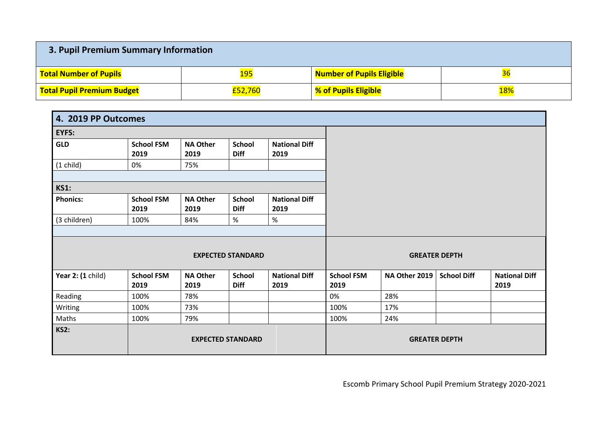| 3. Pupil Premium Summary Information |         |                                  |                 |  |  |  |
|--------------------------------------|---------|----------------------------------|-----------------|--|--|--|
| <b>Total Number of Pupils</b>        | 195     | <b>Number of Pupils Eligible</b> | <mark>36</mark> |  |  |  |
| <b>Total Pupil Premium Budget</b>    | £52,760 | % of Pupils Eligible             | 18%             |  |  |  |

| 4. 2019 PP Outcomes                     |                           |                         |                              |                              |                           |               |                      |                              |
|-----------------------------------------|---------------------------|-------------------------|------------------------------|------------------------------|---------------------------|---------------|----------------------|------------------------------|
| <b>EYFS:</b>                            |                           |                         |                              |                              |                           |               |                      |                              |
| <b>GLD</b>                              | <b>School FSM</b><br>2019 | <b>NA Other</b><br>2019 | <b>School</b><br><b>Diff</b> | <b>National Diff</b><br>2019 |                           |               |                      |                              |
| $(1$ child)                             | 0%                        | 75%                     |                              |                              |                           |               |                      |                              |
| <b>KS1:</b>                             |                           |                         |                              |                              |                           |               |                      |                              |
| <b>Phonics:</b>                         | <b>School FSM</b><br>2019 | <b>NA Other</b><br>2019 | <b>School</b><br><b>Diff</b> | <b>National Diff</b><br>2019 |                           |               |                      |                              |
| (3 children)                            | 100%                      | 84%                     | $\%$                         | %                            |                           |               |                      |                              |
|                                         |                           |                         | <b>EXPECTED STANDARD</b>     |                              |                           |               | <b>GREATER DEPTH</b> |                              |
| Year 2: (1 child)                       | <b>School FSM</b><br>2019 | <b>NA Other</b><br>2019 | <b>School</b><br><b>Diff</b> | <b>National Diff</b><br>2019 | <b>School FSM</b><br>2019 | NA Other 2019 | <b>School Diff</b>   | <b>National Diff</b><br>2019 |
| Reading                                 | 100%                      | 78%                     |                              |                              | 0%                        | 28%           |                      |                              |
| Writing                                 | 100%                      | 73%                     |                              |                              | 100%                      | 17%           |                      |                              |
| Maths                                   | 100%                      | 79%                     |                              |                              | 100%                      | 24%           |                      |                              |
| <b>KS2:</b><br><b>EXPECTED STANDARD</b> |                           |                         |                              |                              | <b>GREATER DEPTH</b>      |               |                      |                              |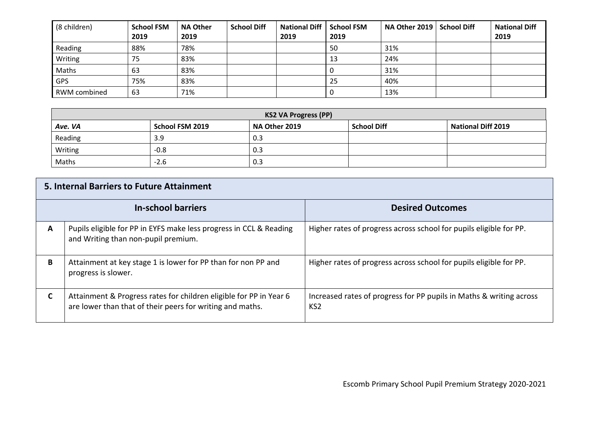| (8 children) | <b>School FSM</b><br>2019 | <b>NA Other</b><br>2019 | <b>School Diff</b> | <b>National Diff</b><br>2019 | <b>School FSM</b><br>2019 | <b>NA Other 2019</b> | <b>School Diff</b> | <b>National Diff</b><br>2019 |
|--------------|---------------------------|-------------------------|--------------------|------------------------------|---------------------------|----------------------|--------------------|------------------------------|
| Reading      | 88%                       | 78%                     |                    |                              | 50                        | 31%                  |                    |                              |
| Writing      | 75                        | 83%                     |                    |                              | 13                        | 24%                  |                    |                              |
| Maths        | 63                        | 83%                     |                    |                              |                           | 31%                  |                    |                              |
| <b>GPS</b>   | 75%                       | 83%                     |                    |                              | 25                        | 40%                  |                    |                              |
| RWM combined | 63                        | 71%                     |                    |                              |                           | 13%                  |                    |                              |

| <b>KS2 VA Progress (PP)</b> |                 |               |                    |                           |  |  |
|-----------------------------|-----------------|---------------|--------------------|---------------------------|--|--|
| Ave. VA                     | School FSM 2019 | NA Other 2019 | <b>School Diff</b> | <b>National Diff 2019</b> |  |  |
| Reading                     | 3.9             | 0.3           |                    |                           |  |  |
| Writing                     | $-0.8$          | 0.3           |                    |                           |  |  |
| Maths                       | $-2.6$          | 0.3           |                    |                           |  |  |

|   | <b>5. Internal Barriers to Future Attainment</b>                                                                                |                                                                                        |  |  |  |  |  |
|---|---------------------------------------------------------------------------------------------------------------------------------|----------------------------------------------------------------------------------------|--|--|--|--|--|
|   | <b>In-school barriers</b>                                                                                                       | <b>Desired Outcomes</b>                                                                |  |  |  |  |  |
| A | Pupils eligible for PP in EYFS make less progress in CCL & Reading<br>and Writing than non-pupil premium.                       | Higher rates of progress across school for pupils eligible for PP.                     |  |  |  |  |  |
| В | Attainment at key stage 1 is lower for PP than for non PP and<br>progress is slower.                                            | Higher rates of progress across school for pupils eligible for PP.                     |  |  |  |  |  |
| C | Attainment & Progress rates for children eligible for PP in Year 6<br>are lower than that of their peers for writing and maths. | Increased rates of progress for PP pupils in Maths & writing across<br>KS <sub>2</sub> |  |  |  |  |  |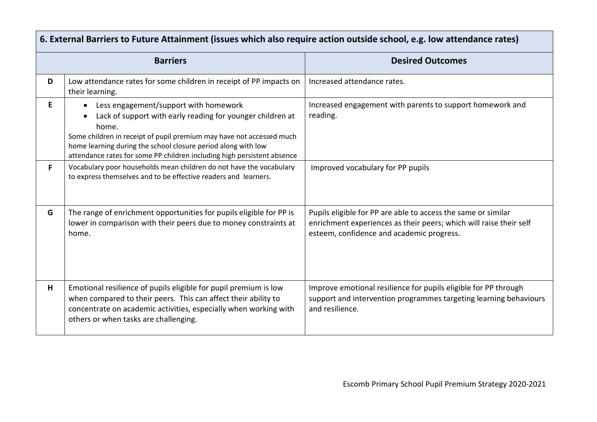|    | 6. External Barriers to Future Attainment (issues which also require action outside school, e.g. low attendance rates)                                                                                                                                                                                                           |                                                                                                                                                                                  |  |  |  |  |  |
|----|----------------------------------------------------------------------------------------------------------------------------------------------------------------------------------------------------------------------------------------------------------------------------------------------------------------------------------|----------------------------------------------------------------------------------------------------------------------------------------------------------------------------------|--|--|--|--|--|
|    | <b>Barriers</b>                                                                                                                                                                                                                                                                                                                  | <b>Desired Outcomes</b>                                                                                                                                                          |  |  |  |  |  |
| D  | Low attendance rates for some children in receipt of PP impacts on<br>their learning.                                                                                                                                                                                                                                            | Increased attendance rates.                                                                                                                                                      |  |  |  |  |  |
| E. | Less engagement/support with homework<br>Lack of support with early reading for younger children at<br>home.<br>Some children in receipt of pupil premium may have not accessed much<br>home learning during the school closure period along with low<br>attendance rates for some PP children including high persistent absence | Increased engagement with parents to support homework and<br>reading.                                                                                                            |  |  |  |  |  |
| F. | Vocabulary poor households mean children do not have the vocabulary<br>to express themselves and to be effective readers and learners.                                                                                                                                                                                           | Improved vocabulary for PP pupils                                                                                                                                                |  |  |  |  |  |
| G  | The range of enrichment opportunities for pupils eligible for PP is<br>lower in comparison with their peers due to money constraints at<br>home.                                                                                                                                                                                 | Pupils eligible for PP are able to access the same or similar<br>enrichment experiences as their peers; which will raise their self<br>esteem, confidence and academic progress. |  |  |  |  |  |
| н  | Emotional resilience of pupils eligible for pupil premium is low<br>when compared to their peers. This can affect their ability to<br>concentrate on academic activities, especially when working with<br>others or when tasks are challenging.                                                                                  | Improve emotional resilience for pupils eligible for PP through<br>support and intervention programmes targeting learning behaviours<br>and resilience.                          |  |  |  |  |  |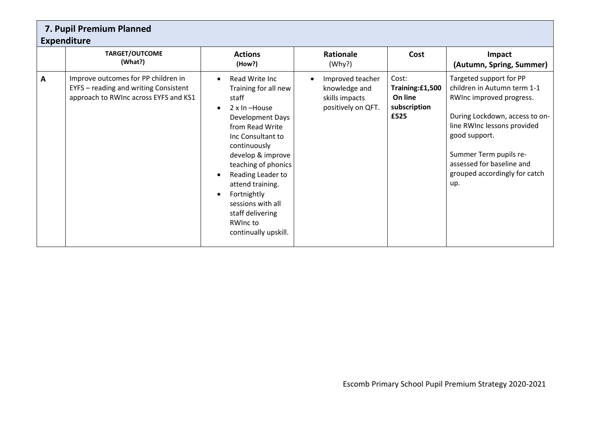|   | 7. Pupil Premium Planned<br><b>Expenditure</b>                                                                        |                                                                                                                                                                                                                                                                                                                                                                      |                                                                           |                                                             |                                                                                                                                                                                                                                                                     |  |  |  |  |
|---|-----------------------------------------------------------------------------------------------------------------------|----------------------------------------------------------------------------------------------------------------------------------------------------------------------------------------------------------------------------------------------------------------------------------------------------------------------------------------------------------------------|---------------------------------------------------------------------------|-------------------------------------------------------------|---------------------------------------------------------------------------------------------------------------------------------------------------------------------------------------------------------------------------------------------------------------------|--|--|--|--|
|   | <b>TARGET/OUTCOME</b><br>(What?)                                                                                      | <b>Actions</b><br>(How?)                                                                                                                                                                                                                                                                                                                                             | Rationale<br>(Why?)                                                       | Cost                                                        | Impact<br>(Autumn, Spring, Summer)                                                                                                                                                                                                                                  |  |  |  |  |
| A | Improve outcomes for PP children in<br>EYFS - reading and writing Consistent<br>approach to RWInc across EYFS and KS1 | Read Write Inc<br>$\bullet$<br>Training for all new<br>staff<br>2 x In -House<br>$\bullet$<br>Development Days<br>from Read Write<br>Inc Consultant to<br>continuously<br>develop & improve<br>teaching of phonics<br>Reading Leader to<br>attend training.<br>Fortnightly<br>$\bullet$<br>sessions with all<br>staff delivering<br>RWInc to<br>continually upskill. | Improved teacher<br>knowledge and<br>skills impacts<br>positively on QFT. | Cost:<br>Training:£1,500<br>On line<br>subscription<br>£525 | Targeted support for PP<br>children in Autumn term 1-1<br>RWInc improved progress.<br>During Lockdown, access to on-<br>line RWInc lessons provided<br>good support.<br>Summer Term pupils re-<br>assessed for baseline and<br>grouped accordingly for catch<br>up. |  |  |  |  |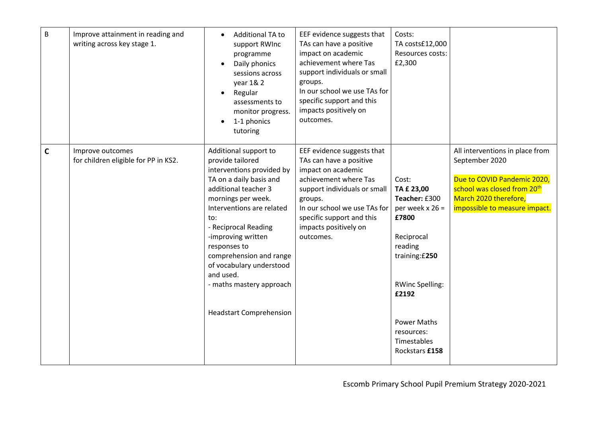| B           | Improve attainment in reading and<br>writing across key stage 1. | Additional TA to<br>$\bullet$<br>support RWInc<br>programme<br>Daily phonics<br>$\bullet$<br>sessions across<br>year 1& 2<br>Regular<br>$\bullet$<br>assessments to<br>monitor progress.                                                                                                                                                                                            | EEF evidence suggests that<br>TAs can have a positive<br>impact on academic<br>achievement where Tas<br>support individuals or small<br>groups.<br>In our school we use TAs for<br>specific support and this<br>impacts positively on              | Costs:<br>TA costs£12,000<br>Resources costs:<br>£2,300                                                                                                                                                               |                                                                                                                                                                                       |
|-------------|------------------------------------------------------------------|-------------------------------------------------------------------------------------------------------------------------------------------------------------------------------------------------------------------------------------------------------------------------------------------------------------------------------------------------------------------------------------|----------------------------------------------------------------------------------------------------------------------------------------------------------------------------------------------------------------------------------------------------|-----------------------------------------------------------------------------------------------------------------------------------------------------------------------------------------------------------------------|---------------------------------------------------------------------------------------------------------------------------------------------------------------------------------------|
|             |                                                                  | 1-1 phonics<br>$\bullet$<br>tutoring                                                                                                                                                                                                                                                                                                                                                | outcomes.                                                                                                                                                                                                                                          |                                                                                                                                                                                                                       |                                                                                                                                                                                       |
| $\mathbf c$ | Improve outcomes<br>for children eligible for PP in KS2.         | Additional support to<br>provide tailored<br>interventions provided by<br>TA on a daily basis and<br>additional teacher 3<br>mornings per week.<br>Interventions are related<br>to:<br>- Reciprocal Reading<br>-improving written<br>responses to<br>comprehension and range<br>of vocabulary understood<br>and used.<br>- maths mastery approach<br><b>Headstart Comprehension</b> | EEF evidence suggests that<br>TAs can have a positive<br>impact on academic<br>achievement where Tas<br>support individuals or small<br>groups.<br>In our school we use TAs for<br>specific support and this<br>impacts positively on<br>outcomes. | Cost:<br>TA £ 23,00<br>Teacher: £300<br>per week $x 26 =$<br>£7800<br>Reciprocal<br>reading<br>training: £250<br><b>RWinc Spelling:</b><br>£2192<br><b>Power Maths</b><br>resources:<br>Timestables<br>Rockstars £158 | All interventions in place from<br>September 2020<br>Due to COVID Pandemic 2020,<br>school was closed from 20 <sup>th</sup><br>March 2020 therefore,<br>impossible to measure impact. |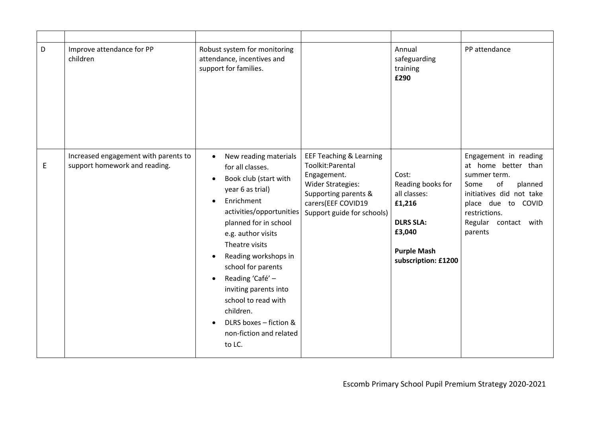| D | Improve attendance for PP<br>children                                 | Robust system for monitoring<br>attendance, incentives and<br>support for families.                                                                                                                                                                                                                                                                                                                                                                 |                                                                                                                                                                               | Annual<br>safeguarding<br>training<br>£290                                                                                      | PP attendance                                                                                                                                                                               |
|---|-----------------------------------------------------------------------|-----------------------------------------------------------------------------------------------------------------------------------------------------------------------------------------------------------------------------------------------------------------------------------------------------------------------------------------------------------------------------------------------------------------------------------------------------|-------------------------------------------------------------------------------------------------------------------------------------------------------------------------------|---------------------------------------------------------------------------------------------------------------------------------|---------------------------------------------------------------------------------------------------------------------------------------------------------------------------------------------|
| E | Increased engagement with parents to<br>support homework and reading. | New reading materials<br>$\bullet$<br>for all classes.<br>Book club (start with<br>$\bullet$<br>year 6 as trial)<br>Enrichment<br>activities/opportunities<br>planned for in school<br>e.g. author visits<br>Theatre visits<br>Reading workshops in<br>school for parents<br>Reading 'Café' -<br>$\bullet$<br>inviting parents into<br>school to read with<br>children.<br>DLRS boxes - fiction &<br>$\bullet$<br>non-fiction and related<br>to LC. | <b>EEF Teaching &amp; Learning</b><br>Toolkit:Parental<br>Engagement.<br><b>Wider Strategies:</b><br>Supporting parents &<br>carers(EEF COVID19<br>Support guide for schools) | Cost:<br>Reading books for<br>all classes:<br>£1,216<br><b>DLRS SLA:</b><br>£3,040<br><b>Purple Mash</b><br>subscription: £1200 | Engagement in reading<br>at home better than<br>summer term.<br>of<br>planned<br>Some<br>initiatives did not take<br>place due to COVID<br>restrictions.<br>Regular contact with<br>parents |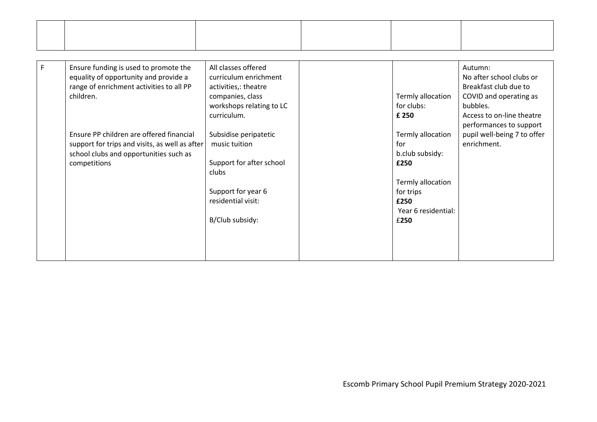| $\mathsf F$ | Ensure funding is used to promote the          | All classes offered      |                     | Autumn:                     |
|-------------|------------------------------------------------|--------------------------|---------------------|-----------------------------|
|             | equality of opportunity and provide a          | curriculum enrichment    |                     | No after school clubs or    |
|             | range of enrichment activities to all PP       | activities,: theatre     |                     | Breakfast club due to       |
|             | children.                                      | companies, class         | Termly allocation   | COVID and operating as      |
|             |                                                | workshops relating to LC | for clubs:          | bubbles.                    |
|             |                                                | curriculum.              | £ 250               | Access to on-line theatre   |
|             |                                                |                          |                     | performances to support     |
|             | Ensure PP children are offered financial       | Subsidise peripatetic    | Termly allocation   | pupil well-being 7 to offer |
|             | support for trips and visits, as well as after | music tuition            | for                 | enrichment.                 |
|             | school clubs and opportunities such as         |                          | b.club subsidy:     |                             |
|             | competitions                                   | Support for after school | £250                |                             |
|             |                                                | clubs                    |                     |                             |
|             |                                                |                          | Termly allocation   |                             |
|             |                                                | Support for year 6       | for trips           |                             |
|             |                                                | residential visit:       | £250                |                             |
|             |                                                |                          | Year 6 residential: |                             |
|             |                                                | B/Club subsidy:          | £250                |                             |
|             |                                                |                          |                     |                             |
|             |                                                |                          |                     |                             |
|             |                                                |                          |                     |                             |
|             |                                                |                          |                     |                             |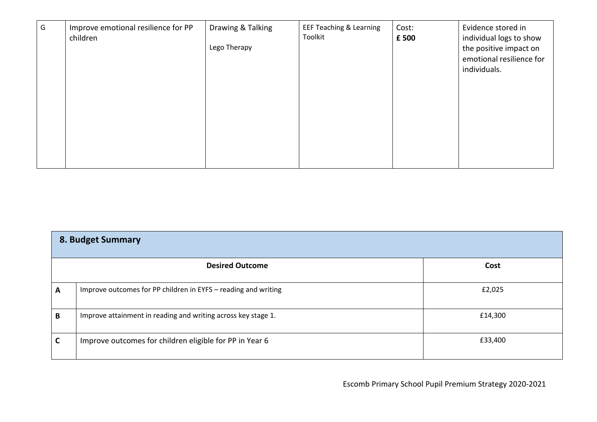| G | Improve emotional resilience for PP<br>children | Drawing & Talking<br>Lego Therapy | <b>EEF Teaching &amp; Learning</b><br>Toolkit | Cost:<br>£ 500 | Evidence stored in<br>individual logs to show<br>the positive impact on<br>emotional resilience for<br>individuals. |
|---|-------------------------------------------------|-----------------------------------|-----------------------------------------------|----------------|---------------------------------------------------------------------------------------------------------------------|
|   |                                                 |                                   |                                               |                |                                                                                                                     |

| 8. Budget Summary |                                                                |         |  |  |  |
|-------------------|----------------------------------------------------------------|---------|--|--|--|
|                   | <b>Desired Outcome</b>                                         | Cost    |  |  |  |
| A                 | Improve outcomes for PP children in EYFS - reading and writing | £2,025  |  |  |  |
| B                 | Improve attainment in reading and writing across key stage 1.  | £14,300 |  |  |  |
|                   | Improve outcomes for children eligible for PP in Year 6        | £33,400 |  |  |  |